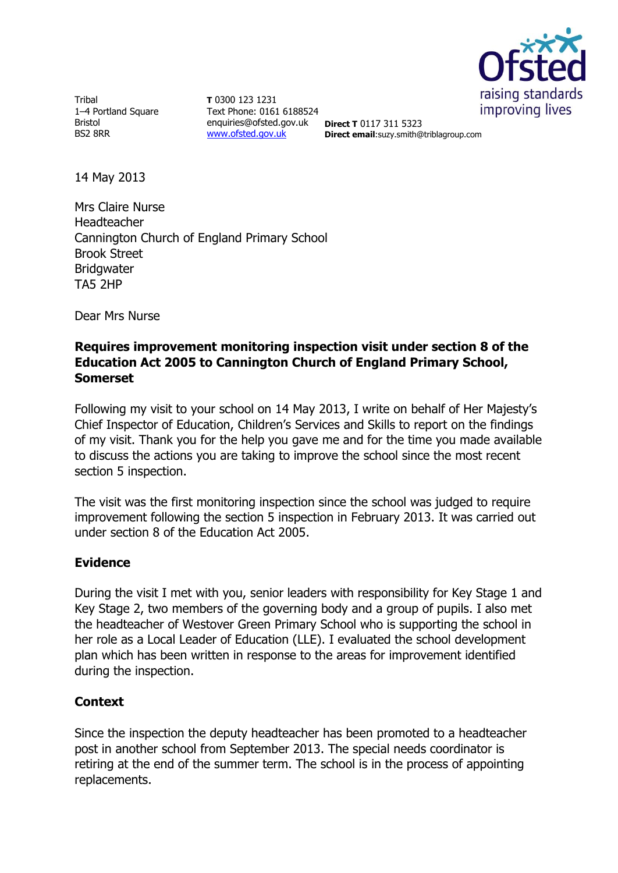

Tribal 1–4 Portland Square Bristol BS2 8RR

**T** 0300 123 1231 Text Phone: 0161 6188524 enquiries@ofsted.gov.uk [www.ofsted.gov.uk](http://www.ofsted.gov.uk/)

**Direct T** 0117 311 5323 **Direct email**:suzy.smith@triblagroup.com

14 May 2013

Mrs Claire Nurse Headteacher Cannington Church of England Primary School Brook Street **Bridgwater** TA5 2HP

Dear Mrs Nurse

## **Requires improvement monitoring inspection visit under section 8 of the Education Act 2005 to Cannington Church of England Primary School, Somerset**

Following my visit to your school on 14 May 2013, I write on behalf of Her Majesty's Chief Inspector of Education, Children's Services and Skills to report on the findings of my visit. Thank you for the help you gave me and for the time you made available to discuss the actions you are taking to improve the school since the most recent section 5 inspection.

The visit was the first monitoring inspection since the school was judged to require improvement following the section 5 inspection in February 2013. It was carried out under section 8 of the Education Act 2005.

## **Evidence**

During the visit I met with you, senior leaders with responsibility for Key Stage 1 and Key Stage 2, two members of the governing body and a group of pupils. I also met the headteacher of Westover Green Primary School who is supporting the school in her role as a Local Leader of Education (LLE). I evaluated the school development plan which has been written in response to the areas for improvement identified during the inspection.

## **Context**

Since the inspection the deputy headteacher has been promoted to a headteacher post in another school from September 2013. The special needs coordinator is retiring at the end of the summer term. The school is in the process of appointing replacements.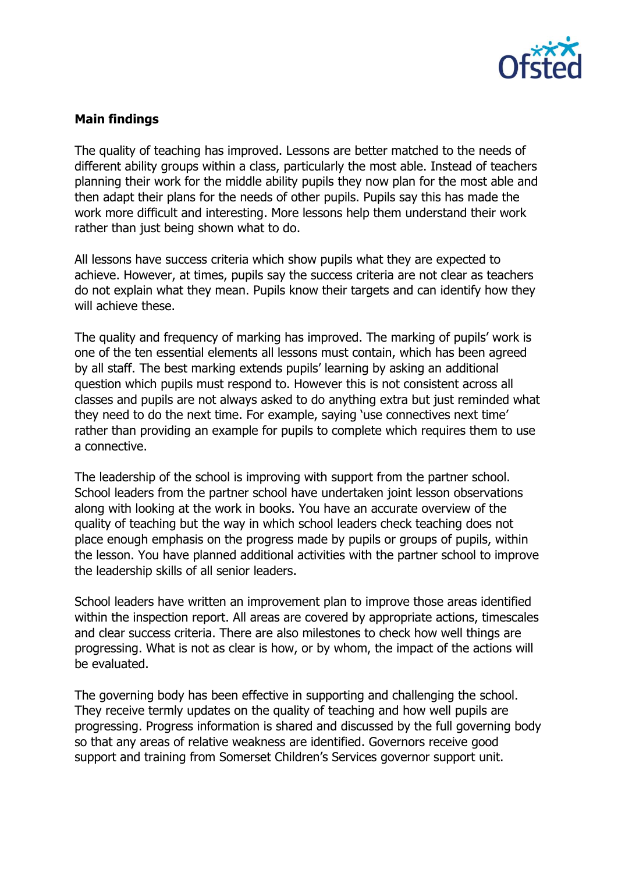

# **Main findings**

The quality of teaching has improved. Lessons are better matched to the needs of different ability groups within a class, particularly the most able. Instead of teachers planning their work for the middle ability pupils they now plan for the most able and then adapt their plans for the needs of other pupils. Pupils say this has made the work more difficult and interesting. More lessons help them understand their work rather than just being shown what to do.

All lessons have success criteria which show pupils what they are expected to achieve. However, at times, pupils say the success criteria are not clear as teachers do not explain what they mean. Pupils know their targets and can identify how they will achieve these.

The quality and frequency of marking has improved. The marking of pupils' work is one of the ten essential elements all lessons must contain, which has been agreed by all staff. The best marking extends pupils' learning by asking an additional question which pupils must respond to. However this is not consistent across all classes and pupils are not always asked to do anything extra but just reminded what they need to do the next time. For example, saying 'use connectives next time' rather than providing an example for pupils to complete which requires them to use a connective.

The leadership of the school is improving with support from the partner school. School leaders from the partner school have undertaken joint lesson observations along with looking at the work in books. You have an accurate overview of the quality of teaching but the way in which school leaders check teaching does not place enough emphasis on the progress made by pupils or groups of pupils, within the lesson. You have planned additional activities with the partner school to improve the leadership skills of all senior leaders.

School leaders have written an improvement plan to improve those areas identified within the inspection report. All areas are covered by appropriate actions, timescales and clear success criteria. There are also milestones to check how well things are progressing. What is not as clear is how, or by whom, the impact of the actions will be evaluated.

The governing body has been effective in supporting and challenging the school. They receive termly updates on the quality of teaching and how well pupils are progressing. Progress information is shared and discussed by the full governing body so that any areas of relative weakness are identified. Governors receive good support and training from Somerset Children's Services governor support unit.